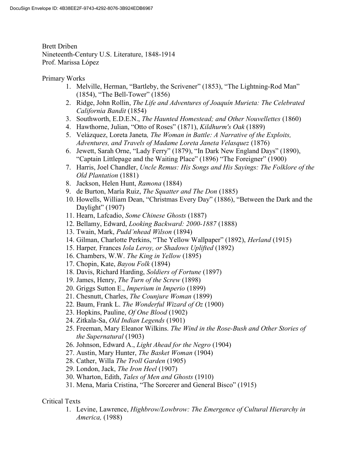Brett Driben Nineteenth-Century U.S. Literature, 1848-1914 Prof. Marissa López

Primary Works

- 1. Melville, Herman, "Bartleby, the Scrivener" (1853), "The Lightning-Rod Man" (1854), "The Bell-Tower" (1856)
- 2. Ridge, John Rollin, The Life and Adventures of Joaquín Murieta: The Celebrated California Bandit (1854)
- 3. Southworth, E.D.E.N., The Haunted Homestead; and Other Nouvellettes (1860)
- 4. Hawthorne, Julian, "Otto of Roses" (1871), Kildhurm's Oak (1889)
- 5. Velázquez, Loreta Janeta, The Woman in Battle: A Narrative of the Exploits, Adventures, and Travels of Madame Loreta Janeta Velasquez (1876)
- 6. Jewett, Sarah Orne, "Lady Ferry" (1879), "In Dark New England Days" (1890), "Captain Littlepage and the Waiting Place" (1896) "The Foreigner" (1900)
- 7. Harris, Joel Chandler, Uncle Remus: His Songs and His Sayings: The Folklore of the Old Plantation (1881)
- 8. Jackson, Helen Hunt, Ramona (1884)
- 9. de Burton, María Ruiz, The Squatter and The Don (1885)
- 10. Howells, William Dean, "Christmas Every Day" (1886), "Between the Dark and the Daylight" (1907)
- 11. Hearn, Lafcadio, Some Chinese Ghosts (1887)
- 12. Bellamy, Edward, Looking Backward: 2000-1887 (1888)
- 13. Twain, Mark, Pudd'nhead Wilson (1894)
- 14. Gilman, Charlotte Perkins, "The Yellow Wallpaper" (1892), Herland (1915)
- 15. Harper, Frances Iola Leroy, or Shadows Uplifted (1892)
- 16. Chambers, W.W. The King in Yellow (1895)
- 17. Chopin, Kate, Bayou Folk (1894)
- 18. Davis, Richard Harding, Soldiers of Fortune (1897)
- 19. James, Henry, The Turn of the Screw (1898)
- 20. Griggs Sutton E., Imperium in Imperio (1899)
- 21. Chesnutt, Charles, The Counjure Woman (1899)
- 22. Baum, Frank L. The Wonderful Wizard of Oz (1900)
- 23. Hopkins, Pauline, Of One Blood (1902)
- 24. Zitkala-Sa, Old Indian Legends (1901)
- 25. Freeman, Mary Eleanor Wilkins. The Wind in the Rose-Bush and Other Stories of the Supernatural (1903)
- 26. Johnson, Edward A., Light Ahead for the Negro (1904)
- 27. Austin, Mary Hunter, The Basket Woman (1904)
- 28. Cather, Willa The Troll Garden (1905)
- 29. London, Jack, The Iron Heel (1907)
- 30. Wharton, Edith, Tales of Men and Ghosts (1910)
- 31. Mena, Maria Cristina, "The Sorcerer and General Bisco" (1915)

## Critical Texts

1. Levine, Lawrence, Highbrow/Lowbrow: The Emergence of Cultural Hierarchy in America, (1988)